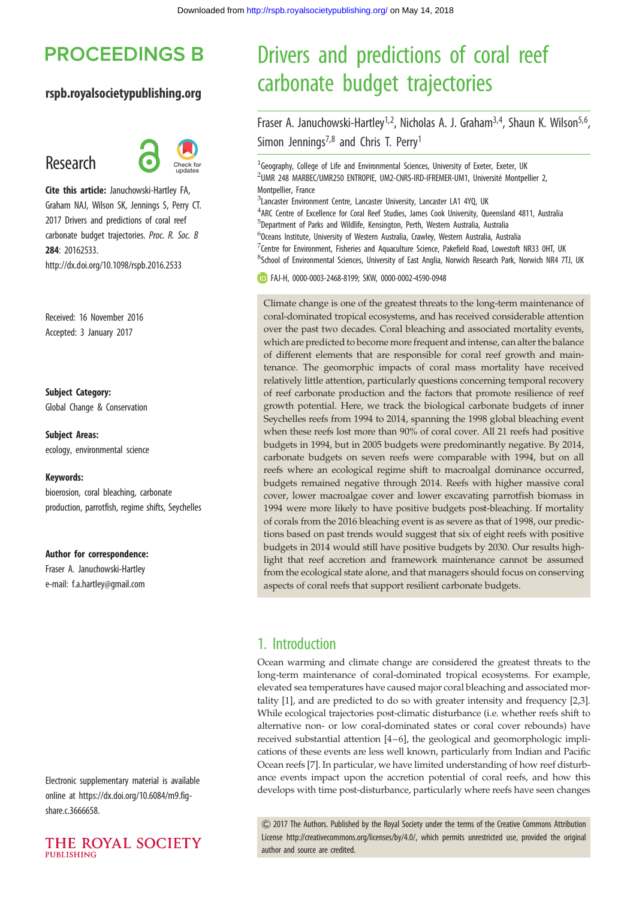# **PROCEEDINGS B**

## rspb.royalsocietypublishing.org

# Research



Cite this article: Januchowski-Hartley FA, Graham NAJ, Wilson SK, Jennings S, Perry CT. 2017 Drivers and predictions of coral reef carbonate budget trajectories. Proc. R. Soc. B 284: 20162533. http://dx.doi.org/10.1098/rspb.2016.2533

Received: 16 November 2016 Accepted: 3 January 2017

#### Subject Category:

Global Change & Conservation

Subject Areas: ecology, environmental science

#### Keywords:

bioerosion, coral bleaching, carbonate production, parrotfish, regime shifts, Seychelles

#### Author for correspondence:

Fraser A. Januchowski-Hartley e-mail: [f.a.hartley@gmail.com](mailto:f.a.hartley@gmail.com)

Electronic supplementary material is available online at [https://dx.doi.org/10.6084/m9.fig](https://dx.doi.org/10.6084/m9.figshare.c.3666658)[share.c.3666658.](https://dx.doi.org/10.6084/m9.figshare.c.3666658)



# Drivers and predictions of coral reef carbonate budget trajectories

Fraser A. Januchowski-Hartley<sup>1,2</sup>, Nicholas A. J. Graham<sup>3,4</sup>, Shaun K. Wilson<sup>5,6</sup>, Simon Jennings<sup>7,8</sup> and Chris T. Perry<sup>1</sup>

<sup>1</sup>Geography, College of Life and Environmental Sciences, University of Exeter, Exeter, UK <sup>2</sup>UMR 248 MARBEC/UMR250 ENTROPIE, UM2-CNRS-IRD-IFREMER-UM1, Université Montpellier 2, Montpellier, France

<sup>3</sup> Lancaster Environment Centre, Lancaster University, Lancaster LA1 4YQ, UK

<sup>4</sup>ARC Centre of Excellence for Coral Reef Studies, James Cook University, Queensland 4811, Australia 5 Department of Parks and Wildlife, Kensington, Perth, Western Australia, Australia

<sup>6</sup>Oceans Institute, University of Western Australia, Crawley, Western Australia, Australia

 $^7$ Centre for Environment, Fisheries and Aquaculture Science, Pakefield Road, Lowestoft NR33 OHT, UK <sup>8</sup>School of Environmental Sciences, University of East Anglia, Norwich Research Park, Norwich NR4 7TJ, UK

FAJ-H, [0000-0003-2468-8199](http://orcid.org/0000-0003-2468-8199); SKW, [0000-0002-4590-0948](http://orcid.org/0000-0002-4590-0948)

Climate change is one of the greatest threats to the long-term maintenance of coral-dominated tropical ecosystems, and has received considerable attention over the past two decades. Coral bleaching and associated mortality events, which are predicted to become more frequent and intense, can alter the balance of different elements that are responsible for coral reef growth and maintenance. The geomorphic impacts of coral mass mortality have received relatively little attention, particularly questions concerning temporal recovery of reef carbonate production and the factors that promote resilience of reef growth potential. Here, we track the biological carbonate budgets of inner Seychelles reefs from 1994 to 2014, spanning the 1998 global bleaching event when these reefs lost more than 90% of coral cover. All 21 reefs had positive budgets in 1994, but in 2005 budgets were predominantly negative. By 2014, carbonate budgets on seven reefs were comparable with 1994, but on all reefs where an ecological regime shift to macroalgal dominance occurred, budgets remained negative through 2014. Reefs with higher massive coral cover, lower macroalgae cover and lower excavating parrotfish biomass in 1994 were more likely to have positive budgets post-bleaching. If mortality of corals from the 2016 bleaching event is as severe as that of 1998, our predictions based on past trends would suggest that six of eight reefs with positive budgets in 2014 would still have positive budgets by 2030. Our results highlight that reef accretion and framework maintenance cannot be assumed from the ecological state alone, and that managers should focus on conserving aspects of coral reefs that support resilient carbonate budgets.

## 1. Introduction

Ocean warming and climate change are considered the greatest threats to the long-term maintenance of coral-dominated tropical ecosystems. For example, elevated sea temperatures have caused major coral bleaching and associated mortality [[1](#page-7-0)], and are predicted to do so with greater intensity and frequency [[2,3\]](#page-7-0). While ecological trajectories post-climatic disturbance (i.e. whether reefs shift to alternative non- or low coral-dominated states or coral cover rebounds) have received substantial attention [\[4](#page-7-0)–[6\]](#page-7-0), the geological and geomorphologic implications of these events are less well known, particularly from Indian and Pacific Ocean reefs [\[7\]](#page-7-0). In particular, we have limited understanding of how reef disturbance events impact upon the accretion potential of coral reefs, and how this develops with time post-disturbance, particularly where reefs have seen changes

& 2017 The Authors. Published by the Royal Society under the terms of the Creative Commons Attribution License [http://creativecommons.org/licenses/by/4.0/, which permits unrestricted use, provided the original](http://creativecommons.org/licenses/by/4.0/) [author and source are credited.](http://creativecommons.org/licenses/by/4.0/)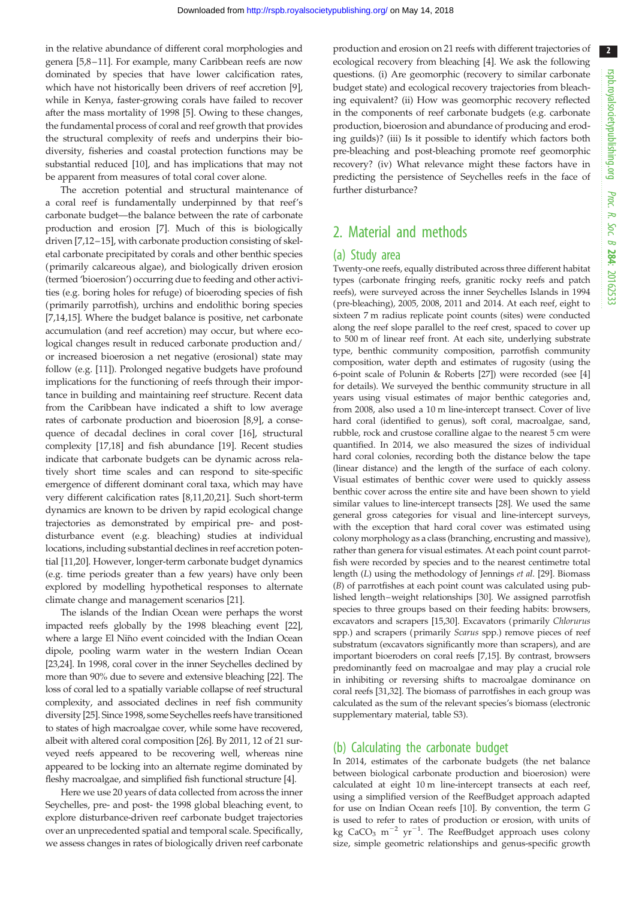$\overline{\phantom{a}}$ 

in the relative abundance of different coral morphologies and genera [\[5,8](#page-7-0)–[11\]](#page-7-0). For example, many Caribbean reefs are now dominated by species that have lower calcification rates, which have not historically been drivers of reef accretion [[9](#page-7-0)], while in Kenya, faster-growing corals have failed to recover after the mass mortality of 1998 [[5](#page-7-0)]. Owing to these changes, the fundamental process of coral and reef growth that provides the structural complexity of reefs and underpins their biodiversity, fisheries and coastal protection functions may be substantial reduced [\[10](#page-7-0)], and has implications that may not be apparent from measures of total coral cover alone.

The accretion potential and structural maintenance of a coral reef is fundamentally underpinned by that reef's carbonate budget—the balance between the rate of carbonate production and erosion [\[7\]](#page-7-0). Much of this is biologically driven [[7,12](#page-7-0)–[15](#page-8-0)], with carbonate production consisting of skeletal carbonate precipitated by corals and other benthic species (primarily calcareous algae), and biologically driven erosion (termed 'bioerosion') occurring due to feeding and other activities (e.g. boring holes for refuge) of bioeroding species of fish (primarily parrotfish), urchins and endolithic boring species [\[7,](#page-7-0)[14,15](#page-8-0)]. Where the budget balance is positive, net carbonate accumulation (and reef accretion) may occur, but where ecological changes result in reduced carbonate production and/ or increased bioerosion a net negative (erosional) state may follow (e.g. [\[11](#page-7-0)]). Prolonged negative budgets have profound implications for the functioning of reefs through their importance in building and maintaining reef structure. Recent data from the Caribbean have indicated a shift to low average rates of carbonate production and bioerosion [[8,9\]](#page-7-0), a consequence of decadal declines in coral cover [[16\]](#page-8-0), structural complexity [[17,18\]](#page-8-0) and fish abundance [\[19](#page-8-0)]. Recent studies indicate that carbonate budgets can be dynamic across relatively short time scales and can respond to site-specific emergence of different dominant coral taxa, which may have very different calcification rates [[8,11](#page-7-0),[20](#page-8-0),[21\]](#page-8-0). Such short-term dynamics are known to be driven by rapid ecological change trajectories as demonstrated by empirical pre- and postdisturbance event (e.g. bleaching) studies at individual locations, including substantial declines in reef accretion potential [[11,](#page-7-0)[20\]](#page-8-0). However, longer-term carbonate budget dynamics (e.g. time periods greater than a few years) have only been explored by modelling hypothetical responses to alternate climate change and management scenarios [\[21](#page-8-0)].

The islands of the Indian Ocean were perhaps the worst impacted reefs globally by the 1998 bleaching event [[22](#page-8-0)], where a large El Niño event coincided with the Indian Ocean dipole, pooling warm water in the western Indian Ocean [\[23,24\]](#page-8-0). In 1998, coral cover in the inner Seychelles declined by more than 90% due to severe and extensive bleaching [[22\]](#page-8-0). The loss of coral led to a spatially variable collapse of reef structural complexity, and associated declines in reef fish community diversity [\[25\]](#page-8-0). Since 1998, some Seychelles reefs have transitioned to states of high macroalgae cover, while some have recovered, albeit with altered coral composition [[26](#page-8-0)]. By 2011, 12 of 21 surveyed reefs appeared to be recovering well, whereas nine appeared to be locking into an alternate regime dominated by fleshy macroalgae, and simplified fish functional structure [[4\]](#page-7-0).

Here we use 20 years of data collected from across the inner Seychelles, pre- and post- the 1998 global bleaching event, to explore disturbance-driven reef carbonate budget trajectories over an unprecedented spatial and temporal scale. Specifically, we assess changes in rates of biologically driven reef carbonate

production and erosion on 21 reefs with different trajectories of ecological recovery from bleaching [\[4\]](#page-7-0). We ask the following questions. (i) Are geomorphic (recovery to similar carbonate budget state) and ecological recovery trajectories from bleaching equivalent? (ii) How was geomorphic recovery reflected in the components of reef carbonate budgets (e.g. carbonate production, bioerosion and abundance of producing and eroding guilds)? (iii) Is it possible to identify which factors both pre-bleaching and post-bleaching promote reef geomorphic recovery? (iv) What relevance might these factors have in predicting the persistence of Seychelles reefs in the face of further disturbance?

## 2. Material and methods

### (a) Study area

Twenty-one reefs, equally distributed across three different habitat types (carbonate fringing reefs, granitic rocky reefs and patch reefs), were surveyed across the inner Seychelles Islands in 1994 (pre-bleaching), 2005, 2008, 2011 and 2014. At each reef, eight to sixteen 7 m radius replicate point counts (sites) were conducted along the reef slope parallel to the reef crest, spaced to cover up to 500 m of linear reef front. At each site, underlying substrate type, benthic community composition, parrotfish community composition, water depth and estimates of rugosity (using the 6-point scale of Polunin & Roberts [[27](#page-8-0)]) were recorded (see [[4](#page-7-0)] for details). We surveyed the benthic community structure in all years using visual estimates of major benthic categories and, from 2008, also used a 10 m line-intercept transect. Cover of live hard coral (identified to genus), soft coral, macroalgae, sand, rubble, rock and crustose coralline algae to the nearest 5 cm were quantified. In 2014, we also measured the sizes of individual hard coral colonies, recording both the distance below the tape (linear distance) and the length of the surface of each colony. Visual estimates of benthic cover were used to quickly assess benthic cover across the entire site and have been shown to yield similar values to line-intercept transects [[28](#page-8-0)]. We used the same general gross categories for visual and line-intercept surveys, with the exception that hard coral cover was estimated using colony morphology as a class (branching, encrusting and massive), rather than genera for visual estimates. At each point count parrotfish were recorded by species and to the nearest centimetre total length (L) using the methodology of Jennings et al. [\[29\]](#page-8-0). Biomass (B) of parrotfishes at each point count was calculated using published length–weight relationships [[30](#page-8-0)]. We assigned parrotfish species to three groups based on their feeding habits: browsers, excavators and scrapers [[15,30\]](#page-8-0). Excavators (primarily Chlorurus spp.) and scrapers (primarily Scarus spp.) remove pieces of reef substratum (excavators significantly more than scrapers), and are important bioeroders on coral reefs [[7](#page-7-0)[,15\]](#page-8-0). By contrast, browsers predominantly feed on macroalgae and may play a crucial role in inhibiting or reversing shifts to macroalgae dominance on coral reefs [\[31,32](#page-8-0)]. The biomass of parrotfishes in each group was calculated as the sum of the relevant species's biomass (electronic supplementary material, table S3).

## (b) Calculating the carbonate budget

In 2014, estimates of the carbonate budgets (the net balance between biological carbonate production and bioerosion) were calculated at eight 10 m line-intercept transects at each reef, using a simplified version of the ReefBudget approach adapted for use on Indian Ocean reefs [\[10\]](#page-7-0). By convention, the term G is used to refer to rates of production or erosion, with units of kg CaCO<sub>3</sub> m<sup>-2</sup> yr<sup>-1</sup>. The ReefBudget approach uses colony size, simple geometric relationships and genus-specific growth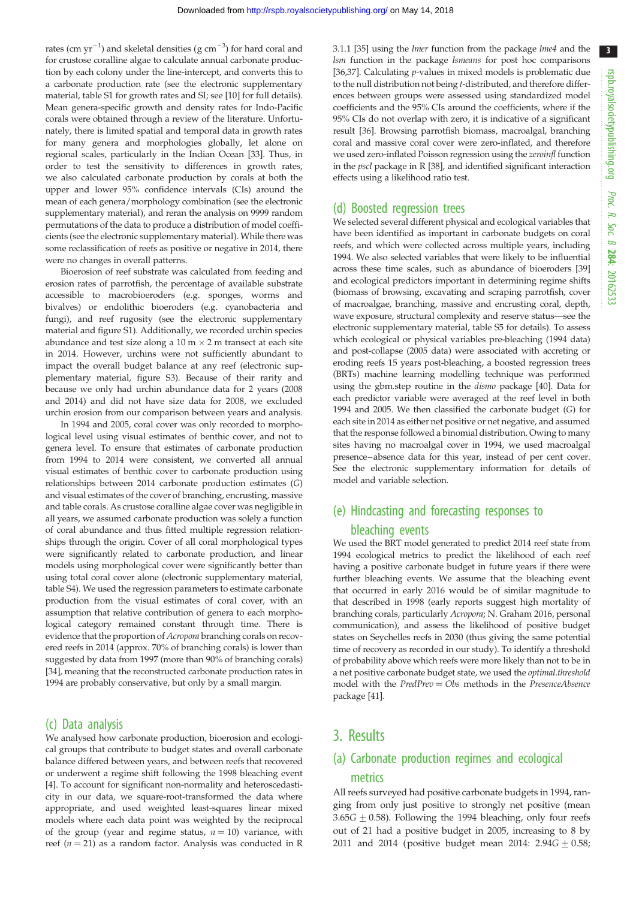3

rates (cm  $\rm{yr}^{-1}$ ) and skeletal densities (g cm $^{-3}$ ) for hard coral and for crustose coralline algae to calculate annual carbonate production by each colony under the line-intercept, and converts this to a carbonate production rate (see the electronic supplementary material, table S1 for growth rates and SI; see [[10\]](#page-7-0) for full details). Mean genera-specific growth and density rates for Indo-Pacific corals were obtained through a review of the literature. Unfortunately, there is limited spatial and temporal data in growth rates for many genera and morphologies globally, let alone on regional scales, particularly in the Indian Ocean [[33](#page-8-0)]. Thus, in order to test the sensitivity to differences in growth rates, we also calculated carbonate production by corals at both the upper and lower 95% confidence intervals (CIs) around the mean of each genera/morphology combination (see the electronic supplementary material), and reran the analysis on 9999 random permutations of the data to produce a distribution of model coefficients (see the electronic supplementary material). While there was some reclassification of reefs as positive or negative in 2014, there were no changes in overall patterns.

Bioerosion of reef substrate was calculated from feeding and erosion rates of parrotfish, the percentage of available substrate accessible to macrobioeroders (e.g. sponges, worms and bivalves) or endolithic bioeroders (e.g. cyanobacteria and fungi), and reef rugosity (see the electronic supplementary material and figure S1). Additionally, we recorded urchin species abundance and test size along a 10 m  $\times$  2 m transect at each site in 2014. However, urchins were not sufficiently abundant to impact the overall budget balance at any reef (electronic supplementary material, figure S3). Because of their rarity and because we only had urchin abundance data for 2 years (2008 and 2014) and did not have size data for 2008, we excluded urchin erosion from our comparison between years and analysis.

In 1994 and 2005, coral cover was only recorded to morphological level using visual estimates of benthic cover, and not to genera level. To ensure that estimates of carbonate production from 1994 to 2014 were consistent, we converted all annual visual estimates of benthic cover to carbonate production using relationships between 2014 carbonate production estimates (G) and visual estimates of the cover of branching, encrusting, massive and table corals. As crustose coralline algae cover was negligible in all years, we assumed carbonate production was solely a function of coral abundance and thus fitted multiple regression relationships through the origin. Cover of all coral morphological types were significantly related to carbonate production, and linear models using morphological cover were significantly better than using total coral cover alone (electronic supplementary material, table S4). We used the regression parameters to estimate carbonate production from the visual estimates of coral cover, with an assumption that relative contribution of genera to each morphological category remained constant through time. There is evidence that the proportion of Acropora branching corals on recovered reefs in 2014 (approx. 70% of branching corals) is lower than suggested by data from 1997 (more than 90% of branching corals) [\[34\]](#page-8-0), meaning that the reconstructed carbonate production rates in 1994 are probably conservative, but only by a small margin.

### (c) Data analysis

We analysed how carbonate production, bioerosion and ecological groups that contribute to budget states and overall carbonate balance differed between years, and between reefs that recovered or underwent a regime shift following the 1998 bleaching event [\[4](#page-7-0)]. To account for significant non-normality and heteroscedasticity in our data, we square-root-transformed the data where appropriate, and used weighted least-squares linear mixed models where each data point was weighted by the reciprocal of the group (year and regime status,  $n = 10$ ) variance, with reef ( $n = 21$ ) as a random factor. Analysis was conducted in R

3.1.1 [\[35\]](#page-8-0) using the lmer function from the package lme4 and the lsm function in the package lsmeans for post hoc comparisons [[36,37](#page-8-0)]. Calculating *p*-values in mixed models is problematic due to the null distribution not being t-distributed, and therefore differences between groups were assessed using standardized model coefficients and the 95% CIs around the coefficients, where if the 95% CIs do not overlap with zero, it is indicative of a significant result [\[36](#page-8-0)]. Browsing parrotfish biomass, macroalgal, branching coral and massive coral cover were zero-inflated, and therefore we used zero-inflated Poisson regression using the zeroinfl function in the pscl package in R [\[38\]](#page-8-0), and identified significant interaction effects using a likelihood ratio test.

## (d) Boosted regression trees

We selected several different physical and ecological variables that have been identified as important in carbonate budgets on coral reefs, and which were collected across multiple years, including 1994. We also selected variables that were likely to be influential across these time scales, such as abundance of bioeroders [[39](#page-8-0)] and ecological predictors important in determining regime shifts (biomass of browsing, excavating and scraping parrotfish, cover of macroalgae, branching, massive and encrusting coral, depth, wave exposure, structural complexity and reserve status—see the electronic supplementary material, table S5 for details). To assess which ecological or physical variables pre-bleaching (1994 data) and post-collapse (2005 data) were associated with accreting or eroding reefs 15 years post-bleaching, a boosted regression trees (BRTs) machine learning modelling technique was performed using the gbm.step routine in the dismo package [\[40\]](#page-8-0). Data for each predictor variable were averaged at the reef level in both 1994 and 2005. We then classified the carbonate budget (G) for each site in 2014 as either net positive or net negative, and assumed that the response followed a binomial distribution. Owing to many sites having no macroalgal cover in 1994, we used macroalgal presence– absence data for this year, instead of per cent cover. See the electronic supplementary information for details of model and variable selection.

# (e) Hindcasting and forecasting responses to bleaching events

We used the BRT model generated to predict 2014 reef state from 1994 ecological metrics to predict the likelihood of each reef having a positive carbonate budget in future years if there were further bleaching events. We assume that the bleaching event that occurred in early 2016 would be of similar magnitude to that described in 1998 (early reports suggest high mortality of branching corals, particularly Acropora; N. Graham 2016, personal communication), and assess the likelihood of positive budget states on Seychelles reefs in 2030 (thus giving the same potential time of recovery as recorded in our study). To identify a threshold of probability above which reefs were more likely than not to be in a net positive carbonate budget state, we used the optimal.threshold model with the  $PredPrev = Obs$  methods in the  $PresenceAbsence$ package [\[41](#page-8-0)].

# 3. Results

## (a) Carbonate production regimes and ecological metrics

All reefs surveyed had positive carbonate budgets in 1994, ranging from only just positive to strongly net positive (mean  $3.65G \pm 0.58$ ). Following the 1994 bleaching, only four reefs out of 21 had a positive budget in 2005, increasing to 8 by 2011 and 2014 (positive budget mean 2014:  $2.94G \pm 0.58$ ;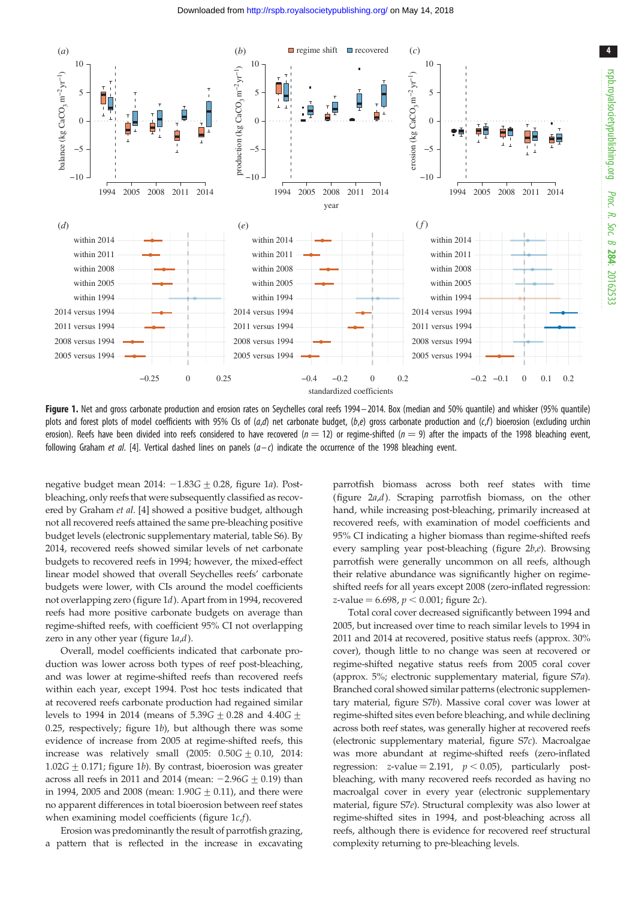<span id="page-3-0"></span>

Figure 1. Net and gross carbonate production and erosion rates on Seychelles coral reefs 1994 – 2014. Box (median and 50% quantile) and whisker (95% quantile) plots and forest plots of model coefficients with 95% CIs of  $(a,d)$  net carbonate budget,  $(b,e)$  gross carbonate production and  $(c,f)$  bioerosion (excluding urchin erosion). Reefs have been divided into reefs considered to have recovered ( $n = 12$ ) or regime-shifted ( $n = 9$ ) after the impacts of the 1998 bleaching event, following Graham et al. [[4\]](#page-7-0). Vertical dashed lines on panels  $(a-c)$  indicate the occurrence of the 1998 bleaching event.

negative budget mean 2014:  $-1.83G \pm 0.28$ , figure 1a). Postbleaching, only reefs that were subsequently classified as recovered by Graham et al. [\[4\]](#page-7-0) showed a positive budget, although not all recovered reefs attained the same pre-bleaching positive budget levels (electronic supplementary material, table S6). By 2014, recovered reefs showed similar levels of net carbonate budgets to recovered reefs in 1994; however, the mixed-effect linear model showed that overall Seychelles reefs' carbonate budgets were lower, with CIs around the model coefficients not overlapping zero (figure 1d). Apart from in 1994, recovered reefs had more positive carbonate budgets on average than regime-shifted reefs, with coefficient 95% CI not overlapping zero in any other year (figure  $1a.d$ ).

Overall, model coefficients indicated that carbonate production was lower across both types of reef post-bleaching, and was lower at regime-shifted reefs than recovered reefs within each year, except 1994. Post hoc tests indicated that at recovered reefs carbonate production had regained similar levels to 1994 in 2014 (means of  $5.39G + 0.28$  and  $4.40G +$ 0.25, respectively; figure 1 $b$ ), but although there was some evidence of increase from 2005 at regime-shifted reefs, this increase was relatively small (2005:  $0.50G \pm 0.10$ , 2014:  $1.02G + 0.171$ ; figure 1b). By contrast, bioerosion was greater across all reefs in 2011 and 2014 (mean:  $-2.96G + 0.19$ ) than in 1994, 2005 and 2008 (mean:  $1.90G \pm 0.11$ ), and there were no apparent differences in total bioerosion between reef states when examining model coefficients (figure  $1c<sub>i</sub>f$ ).

Erosion was predominantly the result of parrotfish grazing, a pattern that is reflected in the increase in excavating parrotfish biomass across both reef states with time ([figure 2](#page-4-0)a,d). Scraping parrotfish biomass, on the other hand, while increasing post-bleaching, primarily increased at recovered reefs, with examination of model coefficients and 95% CI indicating a higher biomass than regime-shifted reefs every sampling year post-bleaching (figure  $2b,e$ ). Browsing parrotfish were generally uncommon on all reefs, although their relative abundance was significantly higher on regimeshifted reefs for all years except 2008 (zero-inflated regression: z-value = 6.698,  $p < 0.001$ ; [figure 2](#page-4-0)c).

Total coral cover decreased significantly between 1994 and 2005, but increased over time to reach similar levels to 1994 in 2011 and 2014 at recovered, positive status reefs (approx. 30% cover), though little to no change was seen at recovered or regime-shifted negative status reefs from 2005 coral cover (approx. 5%; electronic supplementary material, figure S7a). Branched coral showed similar patterns (electronic supplementary material, figure S7b). Massive coral cover was lower at regime-shifted sites even before bleaching, and while declining across both reef states, was generally higher at recovered reefs (electronic supplementary material, figure S7c). Macroalgae was more abundant at regime-shifted reefs (zero-inflated regression: z-value = 2.191,  $p < 0.05$ ), particularly postbleaching, with many recovered reefs recorded as having no macroalgal cover in every year (electronic supplementary material, figure S7e). Structural complexity was also lower at regime-shifted sites in 1994, and post-bleaching across all reefs, although there is evidence for recovered reef structural complexity returning to pre-bleaching levels.

4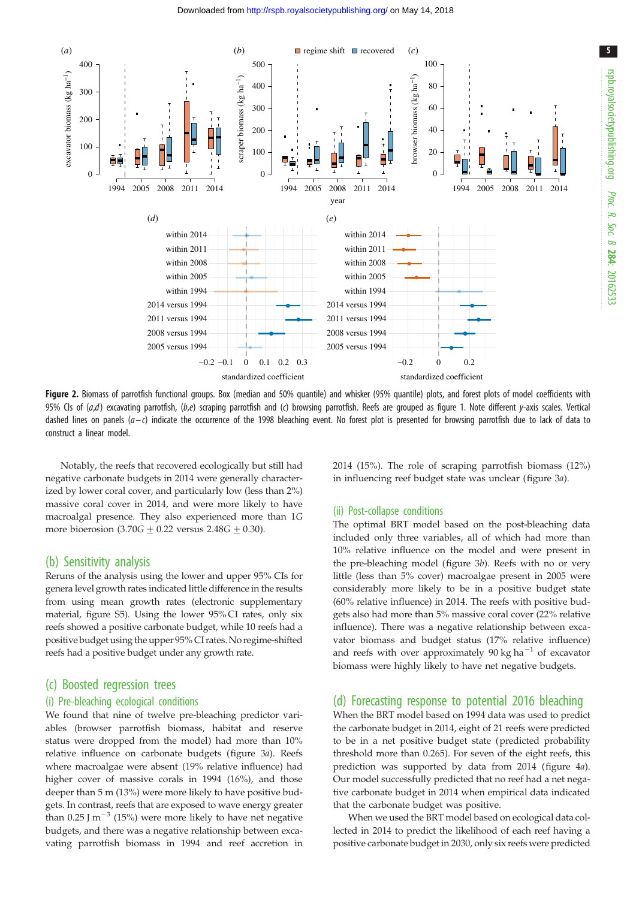<span id="page-4-0"></span>

Figure 2. Biomass of parrotfish functional groups. Box (median and 50% quantile) and whisker (95% quantile) plots, and forest plots of model coefficients with 95% CIs of  $(a,d)$  excavating parrotfish,  $(b,e)$  scraping parrotfish and (c) browsing parrotfish. Reefs are grouped as [figure 1](#page-3-0). Note different y-axis scales. Vertical dashed lines on panels ( $a-c$ ) indicate the occurrence of the 1998 bleaching event. No forest plot is presented for browsing parrotfish due to lack of data to construct a linear model.

Notably, the reefs that recovered ecologically but still had negative carbonate budgets in 2014 were generally characterized by lower coral cover, and particularly low (less than 2%) massive coral cover in 2014, and were more likely to have macroalgal presence. They also experienced more than 1G more bioerosion (3.70G  $\pm$  0.22 versus 2.48G  $\pm$  0.30).

#### (b) Sensitivity analysis

Reruns of the analysis using the lower and upper 95% CIs for genera level growth rates indicated little difference in the results from using mean growth rates (electronic supplementary material, figure S5). Using the lower 95% CI rates, only six reefs showed a positive carbonate budget, while 10 reefs had a positive budget using the upper 95% CI rates. No regime-shifted reefs had a positive budget under any growth rate.

## (c) Boosted regression trees

#### (i) Pre-bleaching ecological conditions

We found that nine of twelve pre-bleaching predictor variables (browser parrotfish biomass, habitat and reserve status were dropped from the model) had more than 10% relative influence on carbonate budgets [\(figure 3](#page-5-0)a). Reefs where macroalgae were absent (19% relative influence) had higher cover of massive corals in 1994 (16%), and those deeper than 5 m (13%) were more likely to have positive budgets. In contrast, reefs that are exposed to wave energy greater than 0.25 J  $m^{-3}$  (15%) were more likely to have net negative budgets, and there was a negative relationship between excavating parrotfish biomass in 1994 and reef accretion in

2014 (15%). The role of scraping parrotfish biomass (12%) in influencing reef budget state was unclear ([figure 3](#page-5-0)a).

#### (ii) Post-collapse conditions

The optimal BRT model based on the post-bleaching data included only three variables, all of which had more than 10% relative influence on the model and were present in the pre-bleaching model ([figure 3](#page-5-0)b). Reefs with no or very little (less than 5% cover) macroalgae present in 2005 were considerably more likely to be in a positive budget state (60% relative influence) in 2014. The reefs with positive budgets also had more than 5% massive coral cover (22% relative influence). There was a negative relationship between excavator biomass and budget status (17% relative influence) and reefs with over approximately 90 kg ha<sup> $-1$ </sup> of excavator biomass were highly likely to have net negative budgets.

#### (d) Forecasting response to potential 2016 bleaching

When the BRT model based on 1994 data was used to predict the carbonate budget in 2014, eight of 21 reefs were predicted to be in a net positive budget state (predicted probability threshold more than 0.265). For seven of the eight reefs, this prediction was supported by data from 2014 [\(figure 4](#page-6-0)a). Our model successfully predicted that no reef had a net negative carbonate budget in 2014 when empirical data indicated that the carbonate budget was positive.

When we used the BRT model based on ecological data collected in 2014 to predict the likelihood of each reef having a positive carbonate budget in 2030, only six reefs were predicted 5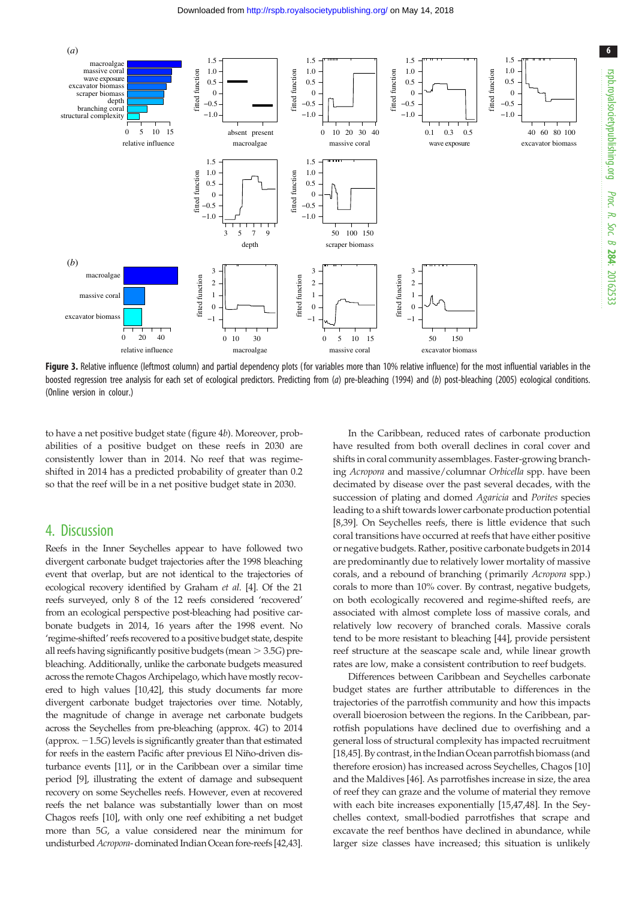<span id="page-5-0"></span>

Figure 3. Relative influence (leftmost column) and partial dependency plots (for variables more than 10% relative influence) for the most influential variables in the boosted regression tree analysis for each set of ecological predictors. Predicting from (a) pre-bleaching (1994) and (b) post-bleaching (2005) ecological conditions. (Online version in colour.)

to have a net positive budget state ([figure 4](#page-6-0)b). Moreover, probabilities of a positive budget on these reefs in 2030 are consistently lower than in 2014. No reef that was regimeshifted in 2014 has a predicted probability of greater than 0.2 so that the reef will be in a net positive budget state in 2030.

## 4. Discussion

Reefs in the Inner Seychelles appear to have followed two divergent carbonate budget trajectories after the 1998 bleaching event that overlap, but are not identical to the trajectories of ecological recovery identified by Graham et al. [[4\]](#page-7-0). Of the 21 reefs surveyed, only 8 of the 12 reefs considered 'recovered' from an ecological perspective post-bleaching had positive carbonate budgets in 2014, 16 years after the 1998 event. No 'regime-shifted' reefs recovered to a positive budget state, despite all reefs having significantly positive budgets (mean  $>$  3.5G) prebleaching. Additionally, unlike the carbonate budgets measured across the remote Chagos Archipelago, which have mostly recovered to high values [\[10,](#page-7-0)[42](#page-8-0)], this study documents far more divergent carbonate budget trajectories over time. Notably, the magnitude of change in average net carbonate budgets across the Seychelles from pre-bleaching (approx. 4G) to 2014 (approx.  $-1.5G$ ) levels is significantly greater than that estimated for reefs in the eastern Pacific after previous El Niño-driven disturbance events [\[11\]](#page-7-0), or in the Caribbean over a similar time period [\[9\]](#page-7-0), illustrating the extent of damage and subsequent recovery on some Seychelles reefs. However, even at recovered reefs the net balance was substantially lower than on most Chagos reefs [[10](#page-7-0)], with only one reef exhibiting a net budget more than 5G, a value considered near the minimum for undisturbed Acropora- dominated Indian Ocean fore-reefs [\[42,43](#page-8-0)].

In the Caribbean, reduced rates of carbonate production have resulted from both overall declines in coral cover and shifts in coral community assemblages. Faster-growing branching Acropora and massive/columnar Orbicella spp. have been decimated by disease over the past several decades, with the succession of plating and domed Agaricia and Porites species leading to a shift towards lower carbonate production potential [[8](#page-7-0)[,39](#page-8-0)]. On Seychelles reefs, there is little evidence that such coral transitions have occurred at reefs that have either positive or negative budgets. Rather, positive carbonate budgets in 2014 are predominantly due to relatively lower mortality of massive corals, and a rebound of branching (primarily Acropora spp.) corals to more than 10% cover. By contrast, negative budgets, on both ecologically recovered and regime-shifted reefs, are associated with almost complete loss of massive corals, and relatively low recovery of branched corals. Massive corals tend to be more resistant to bleaching [[44](#page-8-0)], provide persistent reef structure at the seascape scale and, while linear growth rates are low, make a consistent contribution to reef budgets.

Differences between Caribbean and Seychelles carbonate budget states are further attributable to differences in the trajectories of the parrotfish community and how this impacts overall bioerosion between the regions. In the Caribbean, parrotfish populations have declined due to overfishing and a general loss of structural complexity has impacted recruitment [[18,45\]](#page-8-0). By contrast, in the Indian Ocean parrotfish biomass (and therefore erosion) has increased across Seychelles, Chagos [[10\]](#page-7-0) and the Maldives [[46\]](#page-8-0). As parrotfishes increase in size, the area of reef they can graze and the volume of material they remove with each bite increases exponentially [\[15](#page-8-0),[47](#page-8-0),[48\]](#page-8-0). In the Seychelles context, small-bodied parrotfishes that scrape and excavate the reef benthos have declined in abundance, while larger size classes have increased; this situation is unlikely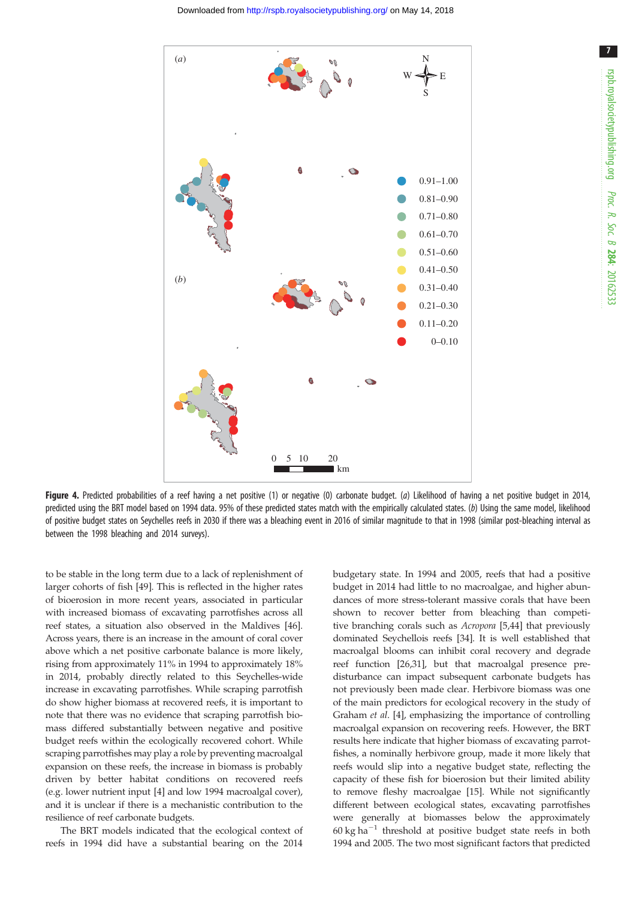<span id="page-6-0"></span>

Figure 4. Predicted probabilities of a reef having a net positive (1) or negative (0) carbonate budget. (a) Likelihood of having a net positive budget in 2014, predicted using the BRT model based on 1994 data. 95% of these predicted states match with the empirically calculated states. (b) Using the same model, likelihood of positive budget states on Seychelles reefs in 2030 if there was a bleaching event in 2016 of similar magnitude to that in 1998 (similar post-bleaching interval as between the 1998 bleaching and 2014 surveys).

to be stable in the long term due to a lack of replenishment of larger cohorts of fish [\[49](#page-8-0)]. This is reflected in the higher rates of bioerosion in more recent years, associated in particular with increased biomass of excavating parrotfishes across all reef states, a situation also observed in the Maldives [\[46](#page-8-0)]. Across years, there is an increase in the amount of coral cover above which a net positive carbonate balance is more likely, rising from approximately 11% in 1994 to approximately 18% in 2014, probably directly related to this Seychelles-wide increase in excavating parrotfishes. While scraping parrotfish do show higher biomass at recovered reefs, it is important to note that there was no evidence that scraping parrotfish biomass differed substantially between negative and positive budget reefs within the ecologically recovered cohort. While scraping parrotfishes may play a role by preventing macroalgal expansion on these reefs, the increase in biomass is probably driven by better habitat conditions on recovered reefs (e.g. lower nutrient input [[4](#page-7-0)] and low 1994 macroalgal cover), and it is unclear if there is a mechanistic contribution to the resilience of reef carbonate budgets.

The BRT models indicated that the ecological context of reefs in 1994 did have a substantial bearing on the 2014 budgetary state. In 1994 and 2005, reefs that had a positive budget in 2014 had little to no macroalgae, and higher abundances of more stress-tolerant massive corals that have been shown to recover better from bleaching than competitive branching corals such as Acropora [[5](#page-7-0)[,44](#page-8-0)] that previously dominated Seychellois reefs [[34\]](#page-8-0). It is well established that macroalgal blooms can inhibit coral recovery and degrade reef function [[26,31\]](#page-8-0), but that macroalgal presence predisturbance can impact subsequent carbonate budgets has not previously been made clear. Herbivore biomass was one of the main predictors for ecological recovery in the study of Graham et al. [[4](#page-7-0)], emphasizing the importance of controlling macroalgal expansion on recovering reefs. However, the BRT results here indicate that higher biomass of excavating parrotfishes, a nominally herbivore group, made it more likely that reefs would slip into a negative budget state, reflecting the capacity of these fish for bioerosion but their limited ability to remove fleshy macroalgae [[15](#page-8-0)]. While not significantly different between ecological states, excavating parrotfishes were generally at biomasses below the approximately  $60 \text{ kg ha}^{-1}$  threshold at positive budget state reefs in both 1994 and 2005. The two most significant factors that predicted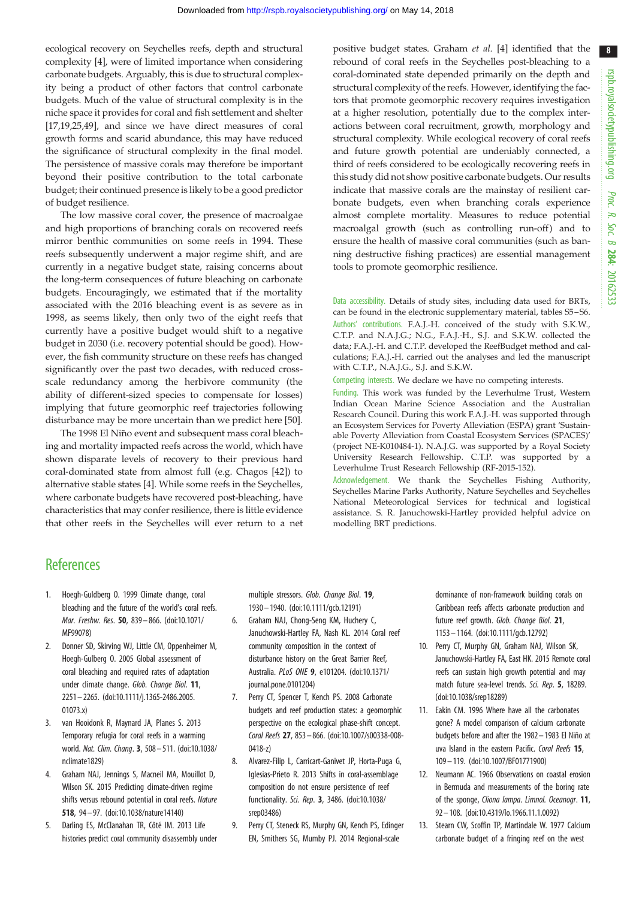<span id="page-7-0"></span>ecological recovery on Seychelles reefs, depth and structural complexity [4], were of limited importance when considering carbonate budgets. Arguably, this is due to structural complexity being a product of other factors that control carbonate budgets. Much of the value of structural complexity is in the niche space it provides for coral and fish settlement and shelter [\[17,19](#page-8-0),[25](#page-8-0),[49\]](#page-8-0), and since we have direct measures of coral growth forms and scarid abundance, this may have reduced the significance of structural complexity in the final model. The persistence of massive corals may therefore be important beyond their positive contribution to the total carbonate budget; their continued presence is likely to be a good predictor of budget resilience.

The low massive coral cover, the presence of macroalgae and high proportions of branching corals on recovered reefs mirror benthic communities on some reefs in 1994. These reefs subsequently underwent a major regime shift, and are currently in a negative budget state, raising concerns about the long-term consequences of future bleaching on carbonate budgets. Encouragingly, we estimated that if the mortality associated with the 2016 bleaching event is as severe as in 1998, as seems likely, then only two of the eight reefs that currently have a positive budget would shift to a negative budget in 2030 (i.e. recovery potential should be good). However, the fish community structure on these reefs has changed significantly over the past two decades, with reduced crossscale redundancy among the herbivore community (the ability of different-sized species to compensate for losses) implying that future geomorphic reef trajectories following disturbance may be more uncertain than we predict here [\[50](#page-8-0)].

The 1998 El Niño event and subsequent mass coral bleaching and mortality impacted reefs across the world, which have shown disparate levels of recovery to their previous hard coral-dominated state from almost full (e.g. Chagos [\[42](#page-8-0)]) to alternative stable states [4]. While some reefs in the Seychelles, where carbonate budgets have recovered post-bleaching, have characteristics that may confer resilience, there is little evidence that other reefs in the Seychelles will ever return to a net positive budget states. Graham et al. [4] identified that the rebound of coral reefs in the Seychelles post-bleaching to a coral-dominated state depended primarily on the depth and structural complexity of the reefs. However, identifying the factors that promote geomorphic recovery requires investigation at a higher resolution, potentially due to the complex interactions between coral recruitment, growth, morphology and structural complexity. While ecological recovery of coral reefs and future growth potential are undeniably connected, a third of reefs considered to be ecologically recovering reefs in this study did not show positive carbonate budgets. Our results indicate that massive corals are the mainstay of resilient carbonate budgets, even when branching corals experience almost complete mortality. Measures to reduce potential macroalgal growth (such as controlling run-off) and to ensure the health of massive coral communities (such as banning destructive fishing practices) are essential management tools to promote geomorphic resilience.

Data accessibility. Details of study sites, including data used for BRTs, can be found in the electronic supplementary material, tables S5–S6. Authors' contributions. F.A.J.-H. conceived of the study with S.K.W., C.T.P. and N.A.J.G.; N.G., F.A.J.-H., S.J. and S.K.W. collected the data; F.A.J.-H. and C.T.P. developed the ReefBudget method and calculations; F.A.J.-H. carried out the analyses and led the manuscript with C.T.P., N.A.J.G., S.J. and S.K.W.

Competing interests. We declare we have no competing interests.

Funding. This work was funded by the Leverhulme Trust, Western Indian Ocean Marine Science Association and the Australian Research Council. During this work F.A.J.-H. was supported through an Ecosystem Services for Poverty Alleviation (ESPA) grant 'Sustainable Poverty Alleviation from Coastal Ecosystem Services (SPACES)' (project NE-K010484-1). N.A.J.G. was supported by a Royal Society University Research Fellowship. C.T.P. was supported by a Leverhulme Trust Research Fellowship (RF-2015-152).

Acknowledgement. We thank the Seychelles Fishing Authority, Seychelles Marine Parks Authority, Nature Seychelles and Seychelles National Meteorological Services for technical and logistical assistance. S. R. Januchowski-Hartley provided helpful advice on modelling BRT predictions.

# **References**

- 1. Hoegh-Guldberg O. 1999 Climate change, coral bleaching and the future of the world's coral reefs. Mar. Freshw. Res. 50, 839– 866. [\(doi:10.1071/](http://dx.doi.org/10.1071/MF99078) [MF99078](http://dx.doi.org/10.1071/MF99078))
- 2. Donner SD, Skirving WJ, Little CM, Oppenheimer M, Hoegh-Gulberg O. 2005 Global assessment of coral bleaching and required rates of adaptation under climate change. Glob. Change Biol. 11, 2251 – 2265. [\(doi:10.1111/j.1365-2486.2005.](http://dx.doi.org/10.1111/j.1365-2486.2005.01073.x) [01073.x\)](http://dx.doi.org/10.1111/j.1365-2486.2005.01073.x)
- 3. van Hooidonk R, Maynard JA, Planes S. 2013 Temporary refugia for coral reefs in a warming world. Nat. Clim. Chang. 3, 508– 511. ([doi:10.1038/](http://dx.doi.org/10.1038/nclimate1829) [nclimate1829](http://dx.doi.org/10.1038/nclimate1829))
- 4. Graham NAJ, Jennings S, Macneil MA, Mouillot D, Wilson SK. 2015 Predicting climate-driven regime shifts versus rebound potential in coral reefs. Nature 518, 94 – 97. ([doi:10.1038/nature14140\)](http://dx.doi.org/10.1038/nature14140)
- 5. Darling ES, McClanahan TR, Côté IM. 2013 Life histories predict coral community disassembly under

multiple stressors. Glob. Change Biol. 19, 1930– 1940. [\(doi:10.1111/gcb.12191](http://dx.doi.org/10.1111/gcb.12191))

- 6. Graham NAJ, Chong-Seng KM, Huchery C, Januchowski-Hartley FA, Nash KL. 2014 Coral reef community composition in the context of disturbance history on the Great Barrier Reef, Australia. PLoS ONE 9, e101204. ([doi:10.1371/](http://dx.doi.org/10.1371/journal.pone.0101204) [journal.pone.0101204\)](http://dx.doi.org/10.1371/journal.pone.0101204)
- 7. Perry CT, Spencer T, Kench PS. 2008 Carbonate budgets and reef production states: a geomorphic perspective on the ecological phase-shift concept. Coral Reefs 27, 853 – 866. [\(doi:10.1007/s00338-008-](http://dx.doi.org/10.1007/s00338-008-0418-z) [0418-z\)](http://dx.doi.org/10.1007/s00338-008-0418-z)
- 8. Alvarez-Filip L, Carricart-Ganivet JP, Horta-Puga G, Iglesias-Prieto R. 2013 Shifts in coral-assemblage composition do not ensure persistence of reef functionality. Sci. Rep. 3, 3486. ([doi:10.1038/](http://dx.doi.org/10.1038/srep03486) [srep03486](http://dx.doi.org/10.1038/srep03486))
- 9. Perry CT, Steneck RS, Murphy GN, Kench PS, Edinger EN, Smithers SG, Mumby PJ. 2014 Regional-scale

dominance of non-framework building corals on Caribbean reefs affects carbonate production and future reef growth. Glob. Change Biol. 21, 1153– 1164. ([doi:10.1111/gcb.12792\)](http://dx.doi.org/10.1111/gcb.12792)

- 10. Perry CT, Murphy GN, Graham NAJ, Wilson SK, Januchowski-Hartley FA, East HK. 2015 Remote coral reefs can sustain high growth potential and may match future sea-level trends. Sci. Rep. 5, 18289. ([doi:10.1038/srep18289\)](http://dx.doi.org/10.1038/srep18289)
- 11. Eakin CM. 1996 Where have all the carbonates gone? A model comparison of calcium carbonate budgets before and after the 1982 - 1983 El Niño at uva Island in the eastern Pacific. Coral Reefs 15, 109– 119. [\(doi:10.1007/BF01771900](http://dx.doi.org/10.1007/BF01771900))
- 12. Neumann AC. 1966 Observations on coastal erosion in Bermuda and measurements of the boring rate of the sponge, Cliona lampa. Limnol. Oceanogr. 11, 92– 108. ([doi:10.4319/lo.1966.11.1.0092](http://dx.doi.org/10.4319/lo.1966.11.1.0092))
- 13. Stearn CW, Scoffin TP, Martindale W. 1977 Calcium carbonate budget of a fringing reef on the west